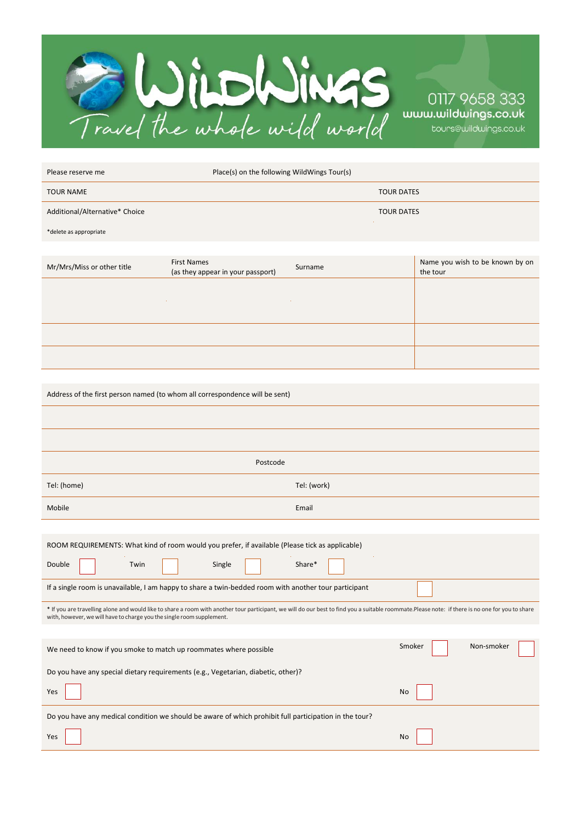

| Please reserve me              | Place(s) on the following WildWings Tour(s)             |         |                   |                                             |  |
|--------------------------------|---------------------------------------------------------|---------|-------------------|---------------------------------------------|--|
| <b>TOUR NAME</b>               |                                                         |         | <b>TOUR DATES</b> |                                             |  |
| Additional/Alternative* Choice |                                                         |         | <b>TOUR DATES</b> |                                             |  |
| *delete as appropriate         |                                                         |         |                   |                                             |  |
|                                |                                                         |         |                   |                                             |  |
| Mr/Mrs/Miss or other title     | <b>First Names</b><br>(as they appear in your passport) | Surname |                   | Name you wish to be known by on<br>the tour |  |
|                                |                                                         |         |                   |                                             |  |
|                                |                                                         |         |                   |                                             |  |
|                                |                                                         |         |                   |                                             |  |

Address of the first person named (to whom all correspondence will be sent)

| Postcode                                                                                                                                                                                                                                                                  |                      |  |  |  |  |
|---------------------------------------------------------------------------------------------------------------------------------------------------------------------------------------------------------------------------------------------------------------------------|----------------------|--|--|--|--|
| Tel: (home)                                                                                                                                                                                                                                                               | Tel: (work)          |  |  |  |  |
| Mobile                                                                                                                                                                                                                                                                    | Email                |  |  |  |  |
|                                                                                                                                                                                                                                                                           |                      |  |  |  |  |
| ROOM REQUIREMENTS: What kind of room would you prefer, if available (Please tick as applicable)                                                                                                                                                                           |                      |  |  |  |  |
| Double<br>Twin<br>Single                                                                                                                                                                                                                                                  | Share*               |  |  |  |  |
| If a single room is unavailable, I am happy to share a twin-bedded room with another tour participant                                                                                                                                                                     |                      |  |  |  |  |
| * If you are travelling alone and would like to share a room with another tour participant, we will do our best to find you a suitable roommate.Please note: if there is no one for you to share<br>with, however, we will have to charge you the single room supplement. |                      |  |  |  |  |
|                                                                                                                                                                                                                                                                           |                      |  |  |  |  |
| We need to know if you smoke to match up roommates where possible                                                                                                                                                                                                         | Non-smoker<br>Smoker |  |  |  |  |
| Do you have any special dietary requirements (e.g., Vegetarian, diabetic, other)?                                                                                                                                                                                         |                      |  |  |  |  |
| Yes                                                                                                                                                                                                                                                                       | <b>No</b>            |  |  |  |  |
| Do you have any medical condition we should be aware of which prohibit full participation in the tour?                                                                                                                                                                    |                      |  |  |  |  |
| Yes                                                                                                                                                                                                                                                                       | <b>No</b>            |  |  |  |  |